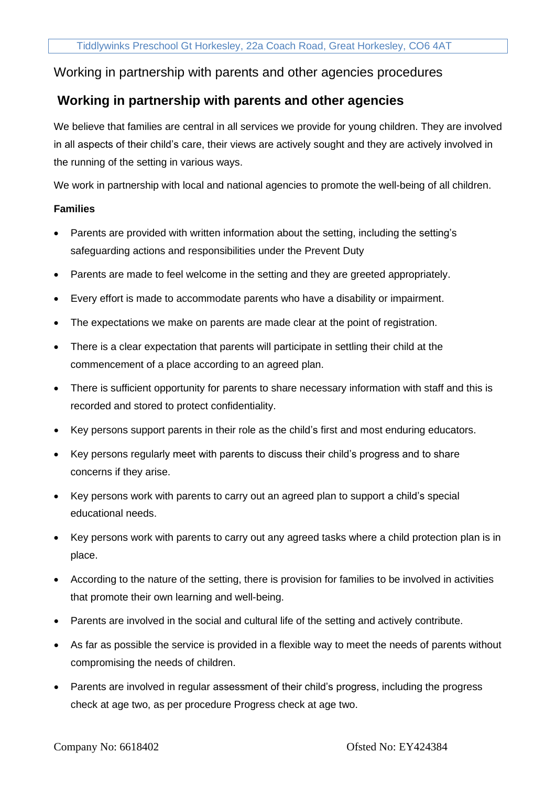## Working in partnership with parents and other agencies procedures

# **Working in partnership with parents and other agencies**

We believe that families are central in all services we provide for young children. They are involved in all aspects of their child's care, their views are actively sought and they are actively involved in the running of the setting in various ways.

We work in partnership with local and national agencies to promote the well-being of all children.

### **Families**

- Parents are provided with written information about the setting, including the setting's safeguarding actions and responsibilities under the Prevent Duty
- Parents are made to feel welcome in the setting and they are greeted appropriately.
- Every effort is made to accommodate parents who have a disability or impairment.
- The expectations we make on parents are made clear at the point of registration.
- There is a clear expectation that parents will participate in settling their child at the commencement of a place according to an agreed plan.
- There is sufficient opportunity for parents to share necessary information with staff and this is recorded and stored to protect confidentiality.
- Key persons support parents in their role as the child's first and most enduring educators.
- Key persons regularly meet with parents to discuss their child's progress and to share concerns if they arise.
- Key persons work with parents to carry out an agreed plan to support a child's special educational needs.
- Key persons work with parents to carry out any agreed tasks where a child protection plan is in place.
- According to the nature of the setting, there is provision for families to be involved in activities that promote their own learning and well-being.
- Parents are involved in the social and cultural life of the setting and actively contribute.
- As far as possible the service is provided in a flexible way to meet the needs of parents without compromising the needs of children.
- Parents are involved in regular assessment of their child's progress, including the progress check at age two, as per procedure Progress check at age two.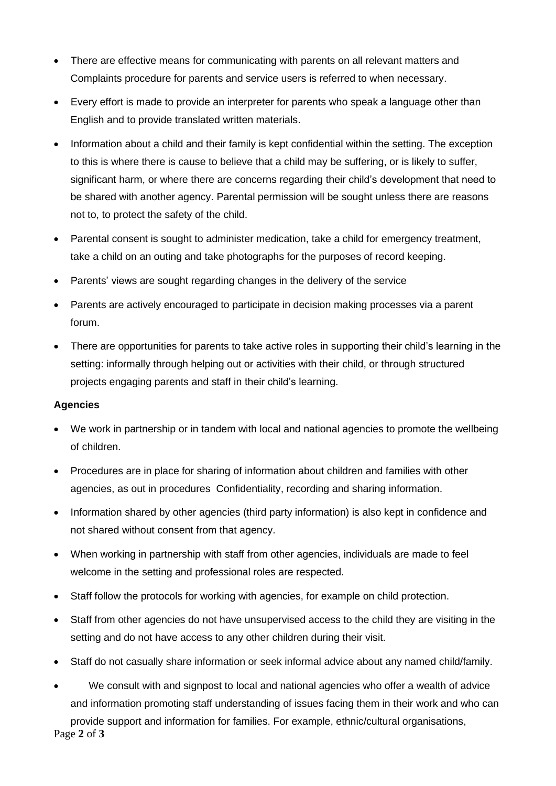- There are effective means for communicating with parents on all relevant matters and Complaints procedure for parents and service users is referred to when necessary.
- Every effort is made to provide an interpreter for parents who speak a language other than English and to provide translated written materials.
- Information about a child and their family is kept confidential within the setting. The exception to this is where there is cause to believe that a child may be suffering, or is likely to suffer, significant harm, or where there are concerns regarding their child's development that need to be shared with another agency. Parental permission will be sought unless there are reasons not to, to protect the safety of the child.
- Parental consent is sought to administer medication, take a child for emergency treatment, take a child on an outing and take photographs for the purposes of record keeping.
- Parents' views are sought regarding changes in the delivery of the service
- Parents are actively encouraged to participate in decision making processes via a parent forum.
- There are opportunities for parents to take active roles in supporting their child's learning in the setting: informally through helping out or activities with their child, or through structured projects engaging parents and staff in their child's learning.

### **Agencies**

- We work in partnership or in tandem with local and national agencies to promote the wellbeing of children.
- Procedures are in place for sharing of information about children and families with other agencies, as out in procedures Confidentiality, recording and sharing information.
- Information shared by other agencies (third party information) is also kept in confidence and not shared without consent from that agency.
- When working in partnership with staff from other agencies, individuals are made to feel welcome in the setting and professional roles are respected.
- Staff follow the protocols for working with agencies, for example on child protection.
- Staff from other agencies do not have unsupervised access to the child they are visiting in the setting and do not have access to any other children during their visit.
- Staff do not casually share information or seek informal advice about any named child/family.
- We consult with and signpost to local and national agencies who offer a wealth of advice and information promoting staff understanding of issues facing them in their work and who can

Page **2** of **3** provide support and information for families. For example, ethnic/cultural organisations,